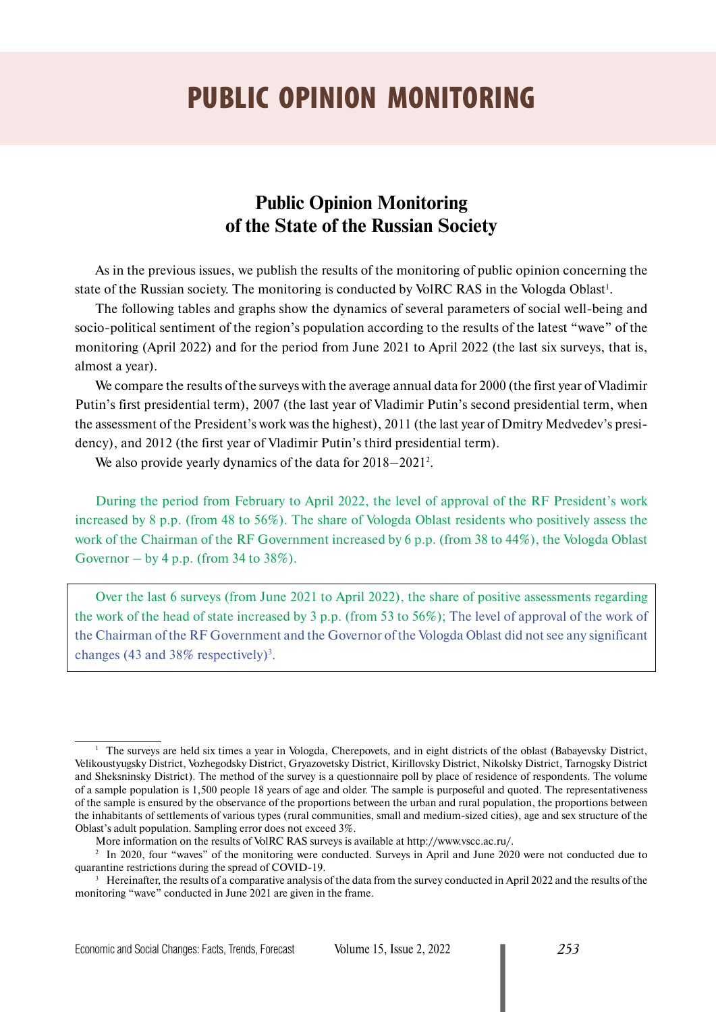# PUBLIC OPINION MONITORING

## **Public Opinion Monitoring of the State of the Russian Society**

As in the previous issues, we publish the results of the monitoring of public opinion concerning the state of the Russian society. The monitoring is conducted by VolRC RAS in the Vologda Oblast<sup>1</sup>.

The following tables and graphs show the dynamics of several parameters of social well-being and socio-political sentiment of the region's population according to the results of the latest "wave" of the monitoring (April 2022) and for the period from June 2021 to April 2022 (the last six surveys, that is, almost a year).

We compare the results of the surveys with the average annual data for 2000 (the first year of Vladimir Putin's first presidential term), 2007 (the last year of Vladimir Putin's second presidential term, when the assessment of the President's work was the highest), 2011 (the last year of Dmitry Medvedev's presidency), and 2012 (the first year of Vladimir Putin's third presidential term).

We also provide yearly dynamics of the data for 2018–2021<sup>2</sup>.

During the period from February to April 2022, the level of approval of the RF President's work increased by 8 p.p. (from 48 to 56%). The share of Vologda Oblast residents who positively assess the work of the Chairman of the RF Government increased by 6 p.p. (from 38 to 44%), the Vologda Oblast Governor – by 4 p.p. (from 34 to  $38\%$ ).

Over the last 6 surveys (from June 2021 to April 2022), the share of positive assessments regarding the work of the head of state increased by 3 p.p. (from 53 to 56%); The level of approval of the work of the Chairman of the RF Government and the Governor of the Vologda Oblast did not see any significant changes (43 and  $38\%$  respectively)<sup>3</sup>.

<sup>&</sup>lt;sup>1</sup> The surveys are held six times a year in Vologda, Cherepovets, and in eight districts of the oblast (Babayevsky District, Velikoustyugsky District, Vozhegodsky District, Gryazovetsky District, Kirillovsky District, Nikolsky District, Tarnogsky District and Sheksninsky District). The method of the survey is a questionnaire poll by place of residence of respondents. The volume of a sample population is 1,500 people 18 years of age and older. The sample is purposeful and quoted. The representativeness of the sample is ensured by the observance of the proportions between the urban and rural population, the proportions between the inhabitants of settlements of various types (rural communities, small and medium-sized cities), age and sex structure of the Oblast's adult population. Sampling error does not exceed 3%.

More information on the results of VolRC RAS surveys is available at http://www.vscc.ac.ru/.

<sup>&</sup>lt;sup>2</sup> In 2020, four "waves" of the monitoring were conducted. Surveys in April and June 2020 were not conducted due to quarantine restrictions during the spread of COVID-19.

 $3$  Hereinafter, the results of a comparative analysis of the data from the survey conducted in April 2022 and the results of the monitoring "wave" conducted in June 2021 are given in the frame.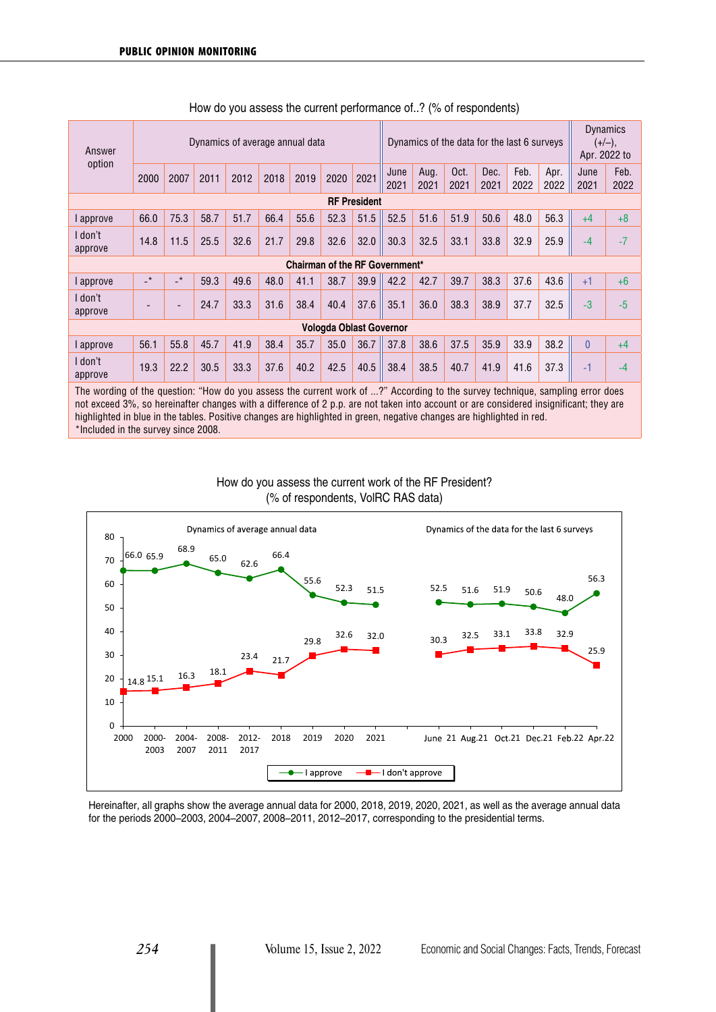| Dynamics of the data for the last 6 surveys<br>Dynamics of average annual data<br>Answer |                            |                          |      |      |      |                                       |      | <b>Dynamics</b><br>$(+/-),$<br>Apr. 2022 to |              |              |              |              |              |              |              |              |
|------------------------------------------------------------------------------------------|----------------------------|--------------------------|------|------|------|---------------------------------------|------|---------------------------------------------|--------------|--------------|--------------|--------------|--------------|--------------|--------------|--------------|
| option                                                                                   | 2000                       | 2007                     | 2011 | 2012 | 2018 | 2019                                  | 2020 | 2021                                        | June<br>2021 | Aug.<br>2021 | Oct.<br>2021 | Dec.<br>2021 | Feb.<br>2022 | Apr.<br>2022 | June<br>2021 | Feb.<br>2022 |
| <b>RF President</b>                                                                      |                            |                          |      |      |      |                                       |      |                                             |              |              |              |              |              |              |              |              |
| approve                                                                                  | 66.0                       | 75.3                     | 58.7 | 51.7 | 66.4 | 55.6                                  | 52.3 | 51.5                                        | 52.5         | 51.6         | 51.9         | 50.6         | 48.0         | 56.3         | $+4$         | $+8$         |
| I don't<br>approve                                                                       | 14.8                       | 11.5                     | 25.5 | 32.6 | 21.7 | 29.8                                  | 32.6 | 32.0                                        | 30.3         | 32.5         | 33.1         | 33.8         | 32.9         | 25.9         | $-4$         | $-7$         |
|                                                                                          |                            |                          |      |      |      | <b>Chairman of the RF Government*</b> |      |                                             |              |              |              |              |              |              |              |              |
| l approve                                                                                | $\overline{\phantom{a}}^*$ | $\rightarrow$            | 59.3 | 49.6 | 48.0 | 41.1                                  | 38.7 | 39.9                                        | 42.2         | 42.7         | 39.7         | 38.3         | 37.6         | 43.6         | $+1$         | $+6$         |
| I don't<br>approve                                                                       |                            | $\overline{\phantom{a}}$ | 24.7 | 33.3 | 31.6 | 38.4                                  | 40.4 | 37.6                                        | 35.1         | 36.0         | 38.3         | 38.9         | 37.7         | 32.5         | $-3$         | $-5$         |
| <b>Vologda Oblast Governor</b>                                                           |                            |                          |      |      |      |                                       |      |                                             |              |              |              |              |              |              |              |              |
| l approve                                                                                | 56.1                       | 55.8                     | 45.7 | 41.9 | 38.4 | 35.7                                  | 35.0 | 36.7                                        | 37.8         | 38.6         | 37.5         | 35.9         | 33.9         | 38.2         | $\Omega$     | $+4$         |
| I don't<br>approve                                                                       | 19.3                       | 22.2                     | 30.5 | 33.3 | 37.6 | 40.2                                  | 42.5 | 40.5                                        | 38.4         | 38.5         | 40.7         | 41.9         | 41.6         | 37.3         | $-1$         | $-4$         |

| How do you assess the current performance of? (% of respondents) |
|------------------------------------------------------------------|
|------------------------------------------------------------------|

The wording of the question: "How do you assess the current work of ...?" According to the survey technique, sampling error does not exceed 3%, so hereinafter changes with a difference of 2 p.p. are not taken into account or are considered insignificant; they are highlighted in blue in the tables. Positive changes are highlighted in green, negative changes are highlighted in red. \*Included in the survey since 2008.





Hereinafter, all graphs show the average annual data for 2000, 2018, 2019, 2020, 2021, as well as the average annual data for the periods 2000–2003, 2004–2007, 2008–2011, 2012–2017, corresponding to the presidential terms.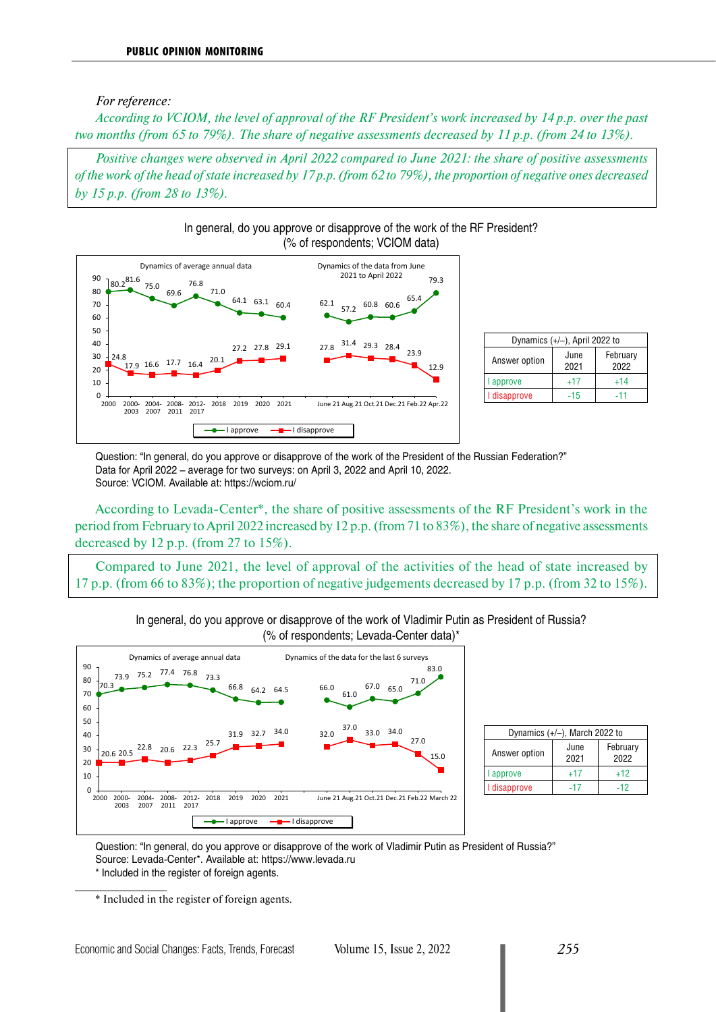#### *For reference:*

*According to VCIOM, the level of approval of the RF President's work increased by 14 p.p. over the past two months (from 65 to 79%). The share of negative assessments decreased by 11 p.p. (from 24 to 13%).*

*Positive changes were observed in April 2022 compared to June 2021: the share of positive assessments of the work of the head of state increased by 17 p.p. (from 62 to 79%), the proportion of negative ones decreased by 15 p.p. (from 28 to 13%).*





| Dynamics $(+/-)$ , April 2022 to |              |                  |  |  |  |  |  |  |  |
|----------------------------------|--------------|------------------|--|--|--|--|--|--|--|
| Answer option                    | June<br>2021 | February<br>2022 |  |  |  |  |  |  |  |
| approve                          | $+17$        | $+14$            |  |  |  |  |  |  |  |
| I disapprove                     | $-15$        | -11              |  |  |  |  |  |  |  |

Question: "In general, do you approve or disapprove of the work of the President of the Russian Federation?" Data for April 2022 – average for two surveys: on April 3, 2022 and April 10, 2022. Source: VCIOM. Available at: https://wciom.ru/

According to Levada-Center\*, the share of positive assessments of the RF President's work in the period from February to April 2022 increased by 12 p.p. (from 71 to 83%), the share of negative assessments decreased by 12 p.p. (from 27 to 15%).

Compared to June 2021, the level of approval of the activities of the head of state increased by 17 p.p. (from 66 to 83%); the proportion of negative judgements decreased by 17 p.p. (from 32 to 15%).





| Dynamics $(+/-)$ , March 2022 to |              |                  |  |  |  |  |  |  |  |
|----------------------------------|--------------|------------------|--|--|--|--|--|--|--|
| Answer option                    | June<br>2021 | February<br>2022 |  |  |  |  |  |  |  |
| approve                          | +17          | $+12$            |  |  |  |  |  |  |  |
| disapprove                       | -17          | $-12$            |  |  |  |  |  |  |  |

Question: "In general, do you approve or disapprove of the work of Vladimir Putin as President of Russia?" Source: Levada-Center\*. Available at: https://www.levada.ru \* Included in the register of foreign agents.

<sup>\*</sup> Included in the register of foreign agents.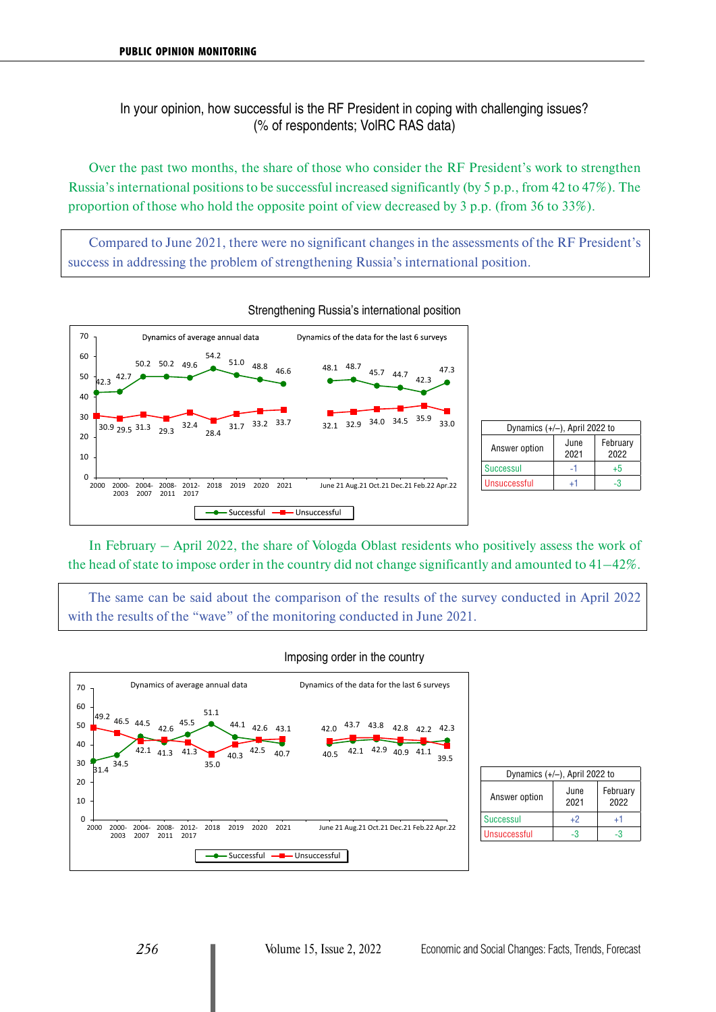In your opinion, how successful is the RF President in coping with challenging issues? (% of respondents; VolRC RAS data)

Over the past two months, the share of those who consider the RF President's work to strengthen Russia's international positions to be successful increased significantly (by 5 p.p., from 42 to 47%). The proportion of those who hold the opposite point of view decreased by 3 p.p. (from 36 to 33%).

Compared to June 2021, there were no significant changes in the assessments of the RF President's success in addressing the problem of strengthening Russia's international position.



| Dynamics $(+/-)$ , April 2022 to |              |                  |  |  |  |  |  |  |  |
|----------------------------------|--------------|------------------|--|--|--|--|--|--|--|
| Answer option                    | June<br>2021 | February<br>2022 |  |  |  |  |  |  |  |
| <b>Successul</b>                 |              | $+5$             |  |  |  |  |  |  |  |
| Unsuccessful                     | LТ           | ч×               |  |  |  |  |  |  |  |

In February – April 2022, the share of Vologda Oblast residents who positively assess the work of the head of state to impose order in the country did not change significantly and amounted to 41–42%.

The same can be said about the comparison of the results of the survey conducted in April 2022 with the results of the "wave" of the monitoring conducted in June 2021.



#### Imposing order in the country

| Dynamics $(+/-)$ , April 2022 to |              |                  |  |  |  |  |  |  |  |
|----------------------------------|--------------|------------------|--|--|--|--|--|--|--|
| Answer option                    | June<br>2021 | February<br>2022 |  |  |  |  |  |  |  |
| Successul                        | +2           | +1               |  |  |  |  |  |  |  |
| <b>Unsuccessful</b>              |              |                  |  |  |  |  |  |  |  |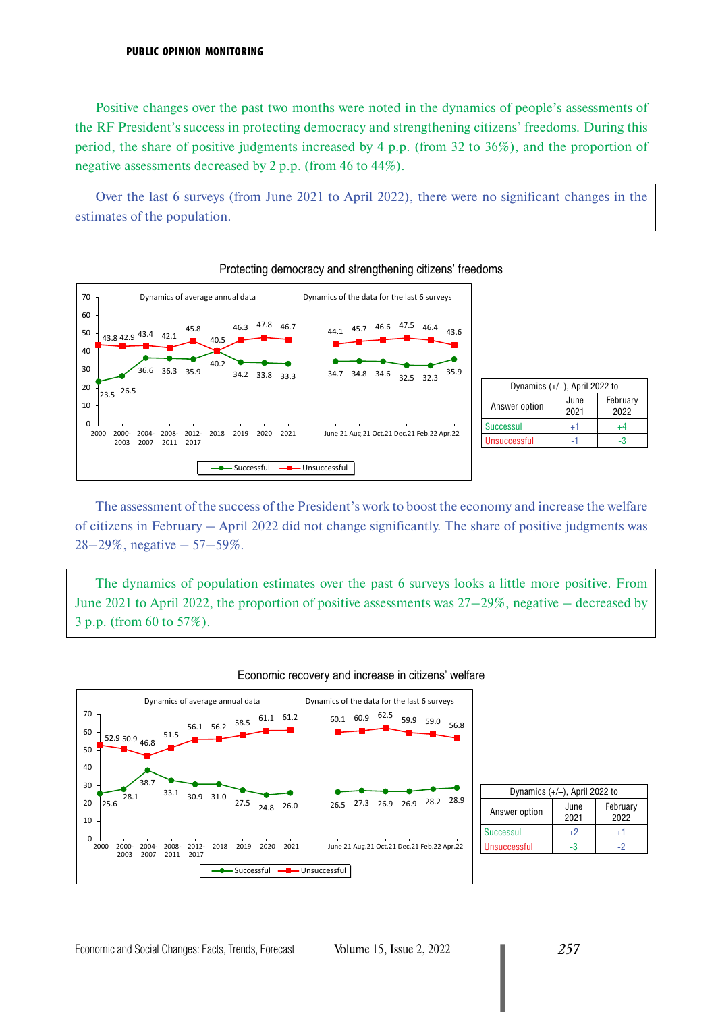Positive changes over the past two months were noted in the dynamics of people's assessments of the RF President's success in protecting democracy and strengthening citizens' freedoms. During this period, the share of positive judgments increased by 4 p.p. (from 32 to 36%), and the proportion of negative assessments decreased by 2 p.p. (from 46 to 44%).

Over the last 6 surveys (from June 2021 to April 2022), there were no significant changes in the estimates of the population.

Protecting democracy and strengthening citizens' freedoms



|                  | Dynamics $(+/-)$ , April 2022 to |                  |
|------------------|----------------------------------|------------------|
| Answer option    | June<br>2021                     | February<br>2022 |
| <b>Successul</b> | 41                               |                  |
| Unsuccessful     |                                  |                  |

### The assessment of the success of the President's work to boost the economy and increase the welfare of citizens in February – April 2022 did not change significantly. The share of positive judgments was  $28-29\%$ , negative  $-57-59\%$ .

The dynamics of population estimates over the past 6 surveys looks a little more positive. From June 2021 to April 2022, the proportion of positive assessments was 27–29%, negative – decreased by 3 p.p. (from 60 to 57%).



| Economic recovery and increase in citizens' welfare |  |  |
|-----------------------------------------------------|--|--|
|                                                     |  |  |

| Dynamics $(+/-)$ , April 2022 to |              |                  |  |  |  |  |  |  |  |  |
|----------------------------------|--------------|------------------|--|--|--|--|--|--|--|--|
| Answer option                    | June<br>2021 | February<br>2022 |  |  |  |  |  |  |  |  |
| <b>Successul</b>                 | +2           | +1               |  |  |  |  |  |  |  |  |
| <b>Unsuccessful</b>              | -3           |                  |  |  |  |  |  |  |  |  |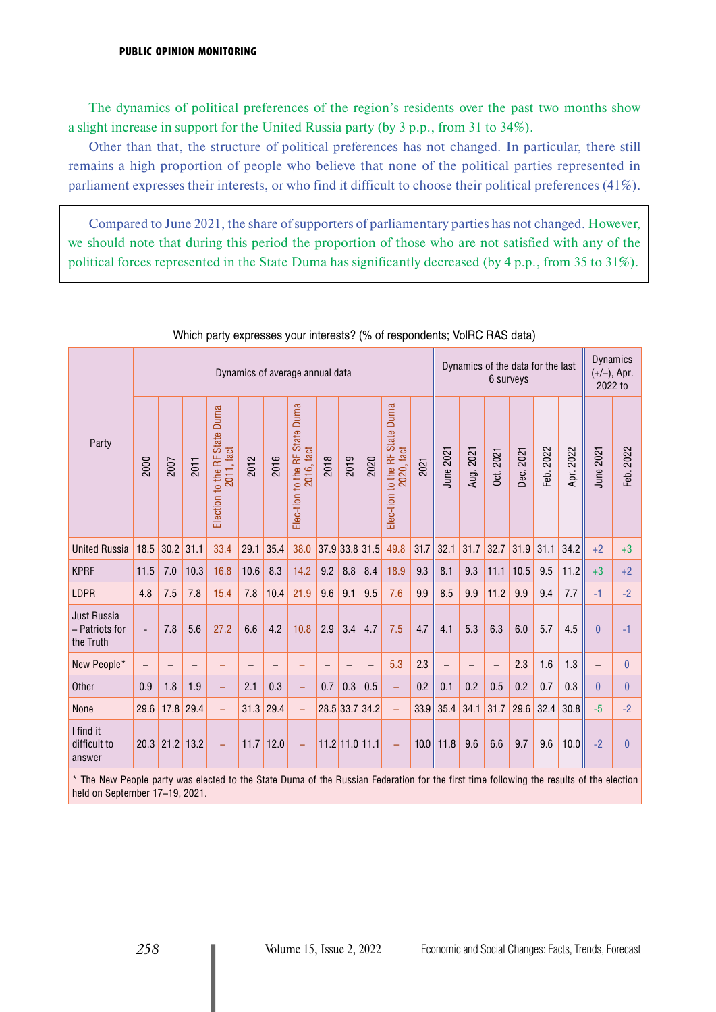The dynamics of political preferences of the region's residents over the past two months show a slight increase in support for the United Russia party (by 3 p.p., from 31 to 34%).

Other than that, the structure of political preferences has not changed. In particular, there still remains a high proportion of people who believe that none of the political parties represented in parliament expresses their interests, or who find it difficult to choose their political preferences (41%).

Compared to June 2021, the share of supporters of parliamentary parties has not changed. However, we should note that during this period the proportion of those who are not satisfied with any of the political forces represented in the State Duma has significantly decreased (by 4 p.p., from 35 to 31%).

|                                            | Dynamics of the data for the last<br>Dynamics of average annual data<br>6 surveys |      |      |                                                |             |      |                                              |                |                          |                          | <b>Dynamics</b><br>$(+/-)$ , Apr.<br>2022 to |      |                          |           |                          |           |           |           |              |                |
|--------------------------------------------|-----------------------------------------------------------------------------------|------|------|------------------------------------------------|-------------|------|----------------------------------------------|----------------|--------------------------|--------------------------|----------------------------------------------|------|--------------------------|-----------|--------------------------|-----------|-----------|-----------|--------------|----------------|
| Party                                      | 2000                                                                              | 2007 | 2011 | Duma<br>Election to the RF State<br>2011, fact | 2012        | 2016 | Elec-tion to the RF State Duma<br>2016, fact | 2018           | 2019                     | 2020                     | Elec-tion to the RF State Duma<br>2020, fact | 2021 | June 2021                | Aug. 2021 | Dct. 2021                | Dec. 2021 | Feb. 2022 | Apr. 2022 | June 2021    | Feb. 2022      |
| <b>United Russia</b>                       | 18.5                                                                              | 30.2 | 31.1 | 33.4                                           | 29.1        | 35.4 | 38.0                                         | 37.9 33.8 31.5 |                          |                          | 49.8                                         | 31.7 | 32.1                     | 31.7      | 32.7                     | 31.9      | 31.1      | 34.2      | $+2$         | $+3$           |
| <b>KPRF</b>                                | 11.5                                                                              | 7.0  | 10.3 | 16.8                                           | 10.6        | 8.3  | 14.2                                         | 9.2            | 8.8                      | 8.4                      | 18.9                                         | 9.3  | 8.1                      | 9.3       | 11.1                     | 10.5      | 9.5       | 11.2      | $+3$         | $+2$           |
| LDPR                                       | 4.8                                                                               | 7.5  | 7.8  | 15.4                                           | 7.8         | 10.4 | 21.9                                         | 9.6            | 9.1                      | 9.5                      | 7.6                                          | 9.9  | 8.5                      | 9.9       | 11.2                     | 9.9       | 9.4       | 7.7       | $-1$         | $-2$           |
| Just Russia<br>- Patriots for<br>the Truth | $\overline{a}$                                                                    | 7.8  | 5.6  | 27.2                                           | 6.6         | 4.2  | 10.8                                         | 2.9            | 3.4                      | 4.7                      | 7.5                                          | 4.7  | 4.1                      | 5.3       | 6.3                      | 6.0       | 5.7       | 4.5       | $\mathbf{0}$ | $-1$           |
| New People*                                |                                                                                   |      | -    |                                                |             |      | -                                            | ۳              | $\overline{\phantom{0}}$ | $\overline{\phantom{0}}$ | 5.3                                          | 2.3  | $\overline{\phantom{0}}$ | -         | $\overline{\phantom{0}}$ | 2.3       | 1.6       | 1.3       |              | $\mathbf{0}$   |
| Other                                      | 0.9                                                                               | 1.8  | 1.9  | $\overline{\phantom{0}}$                       | 2.1         | 0.3  | ÷,                                           | 0.7            | 0.3                      | 0.5                      | ÷,                                           | 0.2  | 0.1                      | 0.2       | 0.5                      | 0.2       | 0.7       | 0.3       | $\Omega$     | 0              |
| None                                       | 29.6                                                                              | 17.8 | 29.4 | ÷,                                             | 31.3        | 29.4 | $\equiv$                                     | 28.5 33.7 34.2 |                          |                          | $\equiv$                                     | 33.9 | 35.4                     | 34.1      | 31.7                     | 29.6      | 32.4      | 30.8      | $-5$         | $-2$           |
| I find it<br>difficult to<br>answer        | 20.3                                                                              | 21.2 | 13.2 | ۳                                              | $11.7$ 12.0 |      | $\equiv$                                     | 11.2 11.0 11.1 |                          |                          | $\equiv$                                     | 10.0 | 11.8                     | 9.6       | 6.6                      | 9.7       | 9.6       | 10.0      | $-2$         | $\overline{0}$ |

#### Which party expresses your interests? (% of respondents; VolRC RAS data)

\* The New People party was elected to the State Duma of the Russian Federation for the first time following the results of the election held on September 17–19, 2021.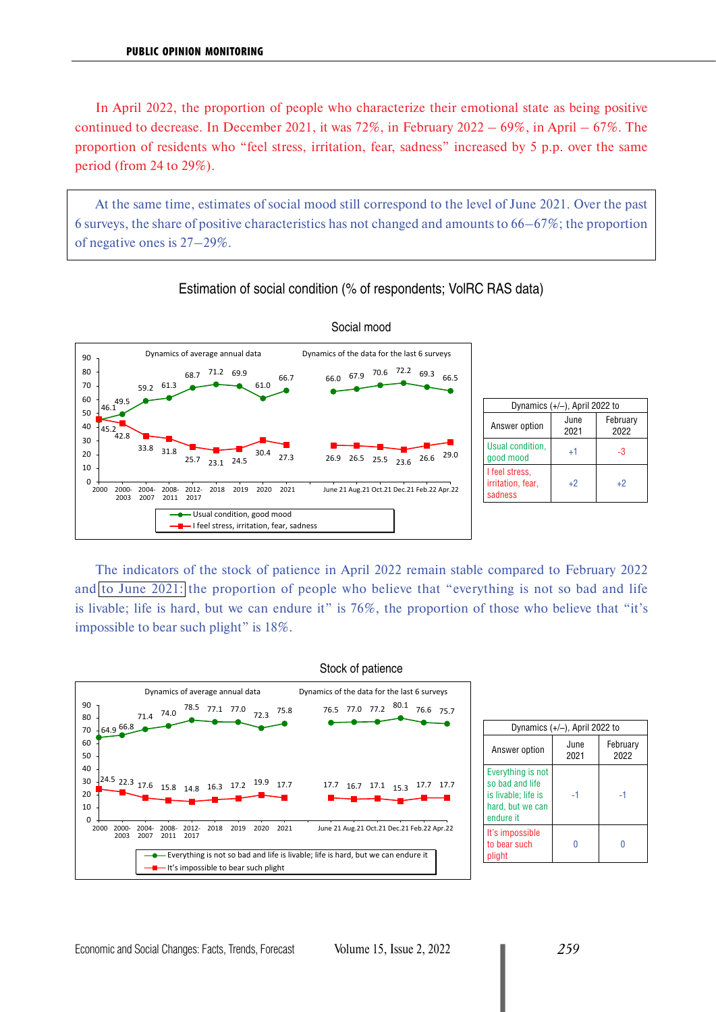In April 2022, the proportion of people who characterize their emotional state as being positive continued to decrease. In December 2021, it was  $72\%$ , in February 2022 – 69%, in April – 67%. The proportion of residents who "feel stress, irritation, fear, sadness" increased by 5 p.p. over the same period (from 24 to 29%).

At the same time, estimates of social mood still correspond to the level of June 2021. Over the past 6 surveys, the share of positive characteristics has not changed and amounts to 66–67%; the proportion of negative ones is 27–29%.



#### Estimation of social condition (% of respondents; VolRC RAS data)

The indicators of the stock of patience in April 2022 remain stable compared to February 2022 and to June 2021: the proportion of people who believe that "everything is not so bad and life is livable; life is hard, but we can endure it" is 76%, the proportion of those who believe that "it's impossible to bear such plight" is 18%.



2021

-1 -1

0 0

February 2022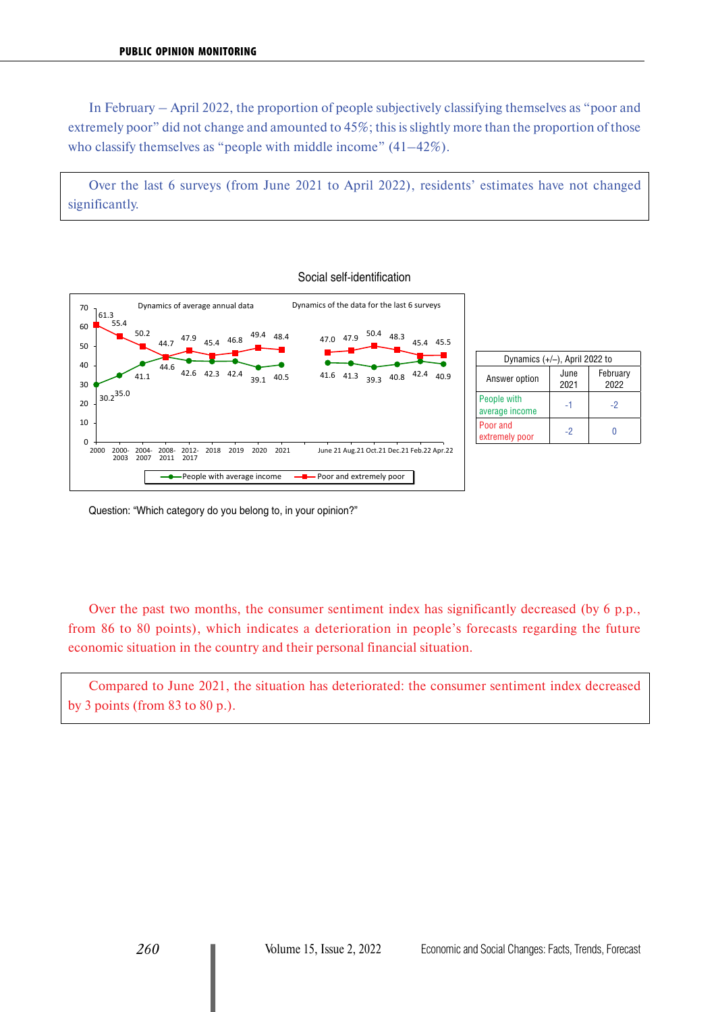In February – April 2022, the proportion of people subjectively classifying themselves as "poor and extremely poor" did not change and amounted to 45%; this is slightly more than the proportion of those who classify themselves as "people with middle income" (41–42%).

Over the last 6 surveys (from June 2021 to April 2022), residents' estimates have not changed significantly.

Social self-identification



| Dynamics $(+/-)$ , April 2022 to |              |                  |  |  |  |  |  |  |  |
|----------------------------------|--------------|------------------|--|--|--|--|--|--|--|
| Answer option                    | June<br>2021 | February<br>2022 |  |  |  |  |  |  |  |
| People with<br>average income    | -1           | -2               |  |  |  |  |  |  |  |
| Poor and<br>extremely poor       | -2           |                  |  |  |  |  |  |  |  |

Question: "Which category do you belong to, in your opinion?"

Over the past two months, the consumer sentiment index has significantly decreased (by 6 p.p., from 86 to 80 points), which indicates a deterioration in people's forecasts regarding the future economic situation in the country and their personal financial situation.

Compared to June 2021, the situation has deteriorated: the consumer sentiment index decreased by 3 points (from 83 to 80 p.).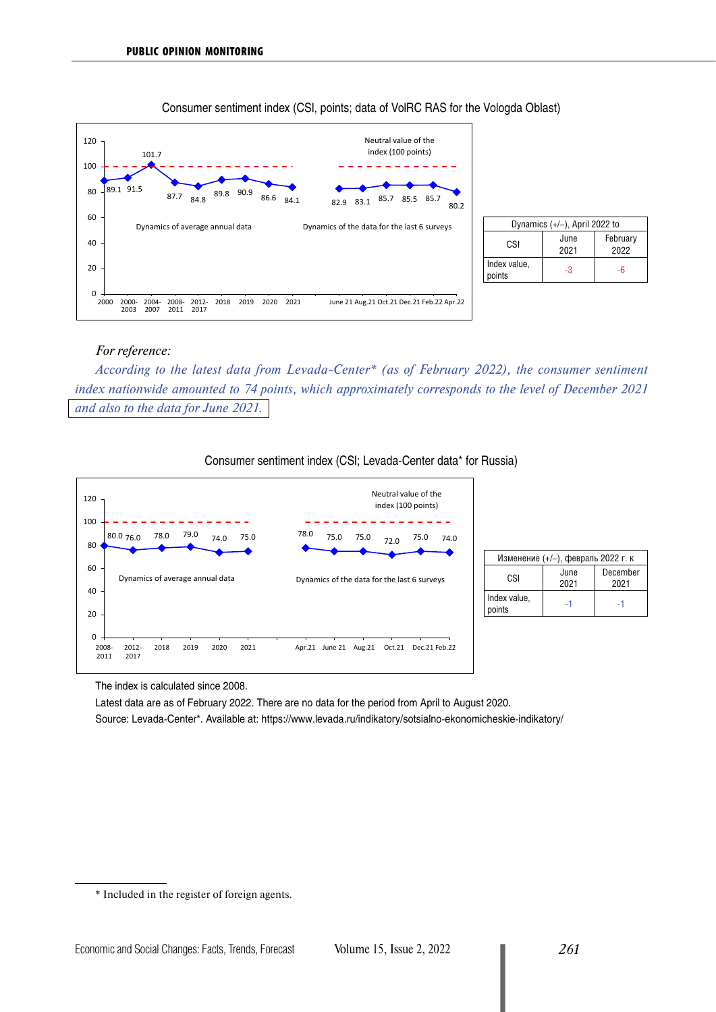

#### Dynamics (+/–), April 2022 to CSI<sup>June</sup> 2021 February 2022 Index value, points  $\begin{vmatrix} -3 & 3 \end{vmatrix}$  -6

#### *For reference:*

*According to the latest data from Levada-Center\* (as of February 2022), the consumer sentiment index nationwide amounted to 74 points, which approximately corresponds to the level of December 2021 and also to the data for June 2021.*





The index is calculated since 2008.

Latest data are as of February 2022. There are no data for the period from April to August 2020. Source: Levada-Center\*. Available at:<https://www.levada.ru/indikatory/sotsialno-ekonomicheskie-indikatory/>

<sup>\*</sup> Included in the register of foreign agents.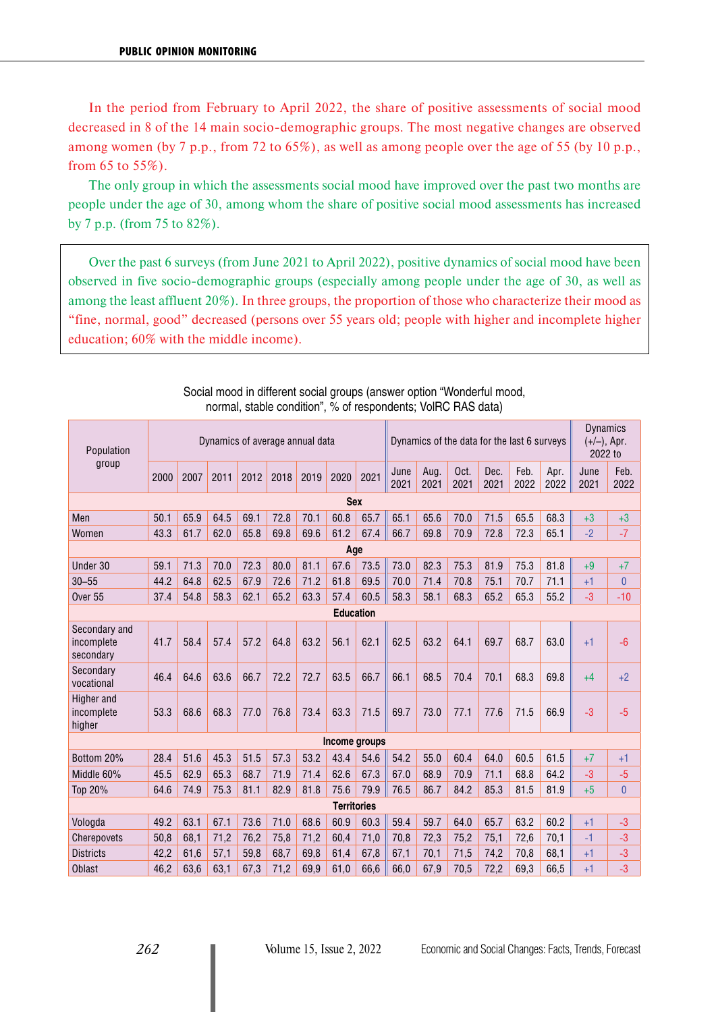In the period from February to April 2022, the share of positive assessments of social mood decreased in 8 of the 14 main socio-demographic groups. The most negative changes are observed among women (by 7 p.p., from 72 to 65%), as well as among people over the age of 55 (by 10 p.p., from 65 to 55%).

The only group in which the assessments social mood have improved over the past two months are people under the age of 30, among whom the share of positive social mood assessments has increased by 7 p.p. (from 75 to 82%).

Over the past 6 surveys (from June 2021 to April 2022), positive dynamics of social mood have been observed in five socio-demographic groups (especially among people under the age of 30, as well as among the least affluent 20%). In three groups, the proportion of those who characterize their mood as "fine, normal, good" decreased (persons over 55 years old; people with higher and incomplete higher education; 60% with the middle income).

| Population                               | Dynamics of average annual data |      |      |      |      |      |      |      | Dynamics of the data for the last 6 surveys |              |              |              |              | <b>Dynamics</b><br>$(+/-)$ , Apr.<br>2022 to |              |                |
|------------------------------------------|---------------------------------|------|------|------|------|------|------|------|---------------------------------------------|--------------|--------------|--------------|--------------|----------------------------------------------|--------------|----------------|
| group                                    | 2000                            | 2007 | 2011 | 2012 | 2018 | 2019 | 2020 | 2021 | June<br>2021                                | Aug.<br>2021 | Oct.<br>2021 | Dec.<br>2021 | Feb.<br>2022 | Apr.<br>2022                                 | June<br>2021 | Feb.<br>2022   |
| <b>Sex</b>                               |                                 |      |      |      |      |      |      |      |                                             |              |              |              |              |                                              |              |                |
| Men                                      | 50.1                            | 65.9 | 64.5 | 69.1 | 72.8 | 70.1 | 60.8 | 65.7 | 65.1                                        | 65.6         | 70.0         | 71.5         | 65.5         | 68.3                                         | $+3$         | $+3$           |
| Women                                    | 43.3                            | 61.7 | 62.0 | 65.8 | 69.8 | 69.6 | 61.2 | 67.4 | 66.7                                        | 69.8         | 70.9         | 72.8         | 72.3         | 65.1                                         | $-2$         | $-7$           |
| Age                                      |                                 |      |      |      |      |      |      |      |                                             |              |              |              |              |                                              |              |                |
| Under 30                                 | 59.1                            | 71.3 | 70.0 | 72.3 | 80.0 | 81.1 | 67.6 | 73.5 | 73.0                                        | 82.3         | 75.3         | 81.9         | 75.3         | 81.8                                         | $+9$         | $+7$           |
| $30 - 55$                                | 44.2                            | 64.8 | 62.5 | 67.9 | 72.6 | 71.2 | 61.8 | 69.5 | 70.0                                        | 71.4         | 70.8         | 75.1         | 70.7         | 71.1                                         | $+1$         | $\overline{0}$ |
| Over <sub>55</sub>                       | 37.4                            | 54.8 | 58.3 | 62.1 | 65.2 | 63.3 | 57.4 | 60.5 | 58.3                                        | 58.1         | 68.3         | 65.2         | 65.3         | 55.2                                         | $-3$         | $-10$          |
| <b>Education</b>                         |                                 |      |      |      |      |      |      |      |                                             |              |              |              |              |                                              |              |                |
| Secondary and<br>incomplete<br>secondary | 41.7                            | 58.4 | 57.4 | 57.2 | 64.8 | 63.2 | 56.1 | 62.1 | 62.5                                        | 63.2         | 64.1         | 69.7         | 68.7         | 63.0                                         | $+1$         | $-6$           |
| Secondary<br>vocational                  | 46.4                            | 64.6 | 63.6 | 66.7 | 72.2 | 72.7 | 63.5 | 66.7 | 66.1                                        | 68.5         | 70.4         | 70.1         | 68.3         | 69.8                                         | $+4$         | $+2$           |
| Higher and<br>incomplete<br>higher       | 53.3                            | 68.6 | 68.3 | 77.0 | 76.8 | 73.4 | 63.3 | 71.5 | 69.7                                        | 73.0         | 77.1         | 77.6         | 71.5         | 66.9                                         | $-3$         | $-5$           |
| Income groups                            |                                 |      |      |      |      |      |      |      |                                             |              |              |              |              |                                              |              |                |
| Bottom 20%                               | 28.4                            | 51.6 | 45.3 | 51.5 | 57.3 | 53.2 | 43.4 | 54.6 | 54.2                                        | 55.0         | 60.4         | 64.0         | 60.5         | 61.5                                         | $+7$         | $+1$           |
| Middle 60%                               | 45.5                            | 62.9 | 65.3 | 68.7 | 71.9 | 71.4 | 62.6 | 67.3 | 67.0                                        | 68.9         | 70.9         | 71.1         | 68.8         | 64.2                                         | $-3$         | $-5$           |
| Top 20%                                  | 64.6                            | 74.9 | 75.3 | 81.1 | 82.9 | 81.8 | 75.6 | 79.9 | 76.5                                        | 86.7         | 84.2         | 85.3         | 81.5         | 81.9                                         | $+5$         | $\overline{0}$ |
| <b>Territories</b>                       |                                 |      |      |      |      |      |      |      |                                             |              |              |              |              |                                              |              |                |
| Vologda                                  | 49.2                            | 63.1 | 67.1 | 73.6 | 71.0 | 68.6 | 60.9 | 60.3 | 59.4                                        | 59.7         | 64.0         | 65.7         | 63.2         | 60.2                                         | $+1$         | $-3$           |
| Cherepovets                              | 50,8                            | 68.1 | 71,2 | 76,2 | 75,8 | 71,2 | 60,4 | 71,0 | 70,8                                        | 72,3         | 75,2         | 75,1         | 72,6         | 70.1                                         | $-1$         | $-3$           |
| <b>Districts</b>                         | 42,2                            | 61,6 | 57,1 | 59,8 | 68,7 | 69,8 | 61.4 | 67,8 | 67,1                                        | 70,1         | 71,5         | 74,2         | 70,8         | 68.1                                         | $+1$         | $-3$           |
| <b>Oblast</b>                            | 46,2                            | 63,6 | 63,1 | 67,3 | 71,2 | 69,9 | 61.0 | 66,6 | 66,0                                        | 67,9         | 70,5         | 72,2         | 69,3         | 66,5                                         | $+1$         | $-3$           |

Social mood in different social groups (answer option "Wonderful mood, normal, stable condition", % of respondents; VolRC RAS data)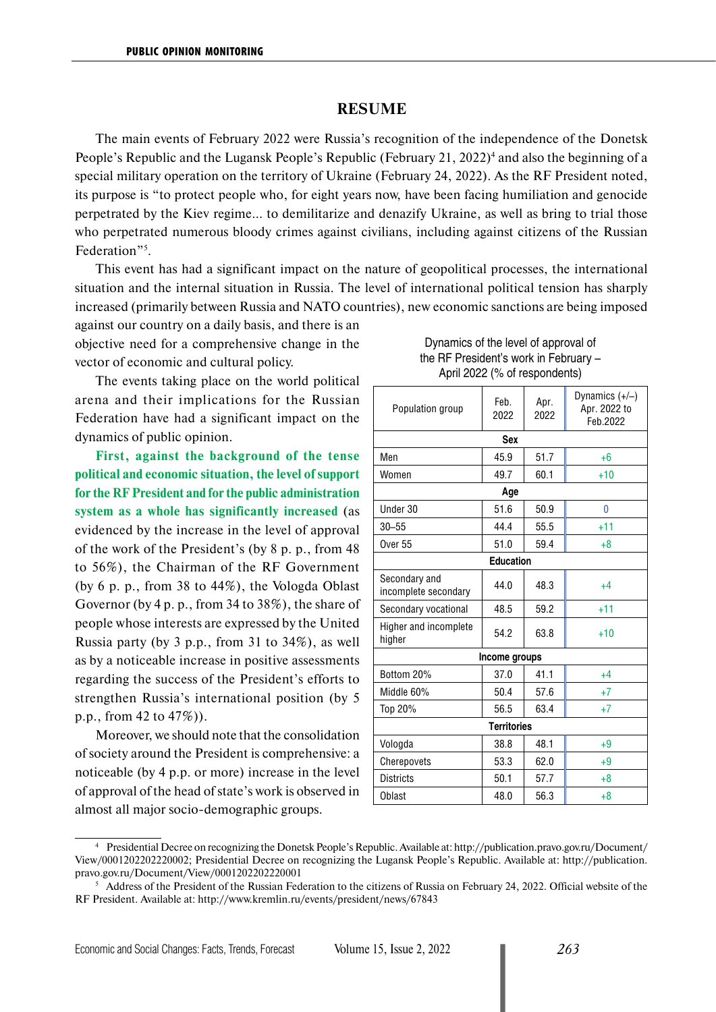#### **RESUME**

The main events of February 2022 were Russia's recognition of the independence of the Donetsk People's Republic and the Lugansk People's Republic (February 21, 2022)<sup>4</sup> and also the beginning of a special military operation on the territory of Ukraine (February 24, 2022). As the RF President noted, its purpose is "to protect people who, for eight years now, have been facing humiliation and genocide perpetrated by the Kiev regime… to demilitarize and denazify Ukraine, as well as bring to trial those who perpetrated numerous bloody crimes against civilians, including against citizens of the Russian Federation"<sup>5</sup>.

This event has had a significant impact on the nature of geopolitical processes, the international situation and the internal situation in Russia. The level of international political tension has sharply increased (primarily between Russia and NATO countries), new economic sanctions are being imposed

against our country on a daily basis, and there is an objective need for a comprehensive change in the vector of economic and cultural policy.

The events taking place on the world political arena and their implications for the Russian Federation have had a significant impact on the dynamics of public opinion.

**First, against the background of the tense political and economic situation, the level of support for the RF President and for the public administration system as a whole has significantly increased** (as evidenced by the increase in the level of approval of the work of the President's (by 8 p. p., from 48 to 56%), the Chairman of the RF Government (by 6 p. p., from 38 to 44%), the Vologda Oblast Governor (by 4 p. p., from 34 to 38%), the share of people whose interests are expressed by the United Russia party (by 3 p.p., from 31 to 34%), as well as by a noticeable increase in positive assessments regarding the success of the President's efforts to strengthen Russia's international position (by 5 p.p., from 42 to 47%)).

Moreover, we should note that the consolidation of society around the President is comprehensive: a noticeable (by 4 p.p. or more) increase in the level of approval of the head of state's work is observed in almost all major socio-demographic groups.

#### Dynamics of the level of approval of the RF President's work in February – April 2022 (% of respondents)

| Population group                      | Feb.<br>2022 | Apr.<br>2022 | Dynamics $(+/-)$<br>Apr. 2022 to<br>Feb.2022 |  |  |  |  |  |  |
|---------------------------------------|--------------|--------------|----------------------------------------------|--|--|--|--|--|--|
| Sex                                   |              |              |                                              |  |  |  |  |  |  |
| Men                                   | 45.9         | 51.7         | $+6$                                         |  |  |  |  |  |  |
| Women                                 | 49.7         | 60.1         | $+10$                                        |  |  |  |  |  |  |
| Age                                   |              |              |                                              |  |  |  |  |  |  |
| Under 30                              | 51.6         | 50.9         | 0                                            |  |  |  |  |  |  |
| $30 - 55$                             | 44.4         | 55.5         | $+11$                                        |  |  |  |  |  |  |
| Over <sub>55</sub>                    | 51.0         | 59.4         | $+8$                                         |  |  |  |  |  |  |
| <b>Education</b>                      |              |              |                                              |  |  |  |  |  |  |
| Secondary and<br>incomplete secondary | 44.0         | 48.3         | $+4$                                         |  |  |  |  |  |  |
| Secondary vocational                  | 48.5         | 59.2         | $+11$                                        |  |  |  |  |  |  |
| Higher and incomplete<br>higher       | 54.2         | 63.8         | $+10$                                        |  |  |  |  |  |  |
| Income groups                         |              |              |                                              |  |  |  |  |  |  |
| Bottom 20%                            | 37.0         | 41.1         | $+4$                                         |  |  |  |  |  |  |
| Middle 60%                            | 50.4         | 57.6         | $+7$                                         |  |  |  |  |  |  |
| Top 20%                               | 56.5         | 63.4         | $+7$                                         |  |  |  |  |  |  |
| <b>Territories</b>                    |              |              |                                              |  |  |  |  |  |  |
| Vologda                               | 38.8         | 48.1         | $+9$                                         |  |  |  |  |  |  |
| Cherepovets                           | 53.3         | 62.0         | $+9$                                         |  |  |  |  |  |  |
| <b>Districts</b>                      | 50.1         | 57.7         | $+8$                                         |  |  |  |  |  |  |
| <b>Oblast</b>                         | 48.0         | 56.3         | $+8$                                         |  |  |  |  |  |  |

<sup>4</sup> Presidential Decree on recognizing the Donetsk People's Republic. Available at: http://publication.pravo.gov.ru/Document/ View/0001202202220002; Presidential Decree on recognizing the Lugansk People's Republic. Available at: http://publication. pravo.gov.ru/Document/View/0001202202220001

<sup>&</sup>lt;sup>5</sup> Address of the President of the Russian Federation to the citizens of Russia on February 24, 2022. Official website of the RF President. Available at: http://www.kremlin.ru/events/president/news/67843